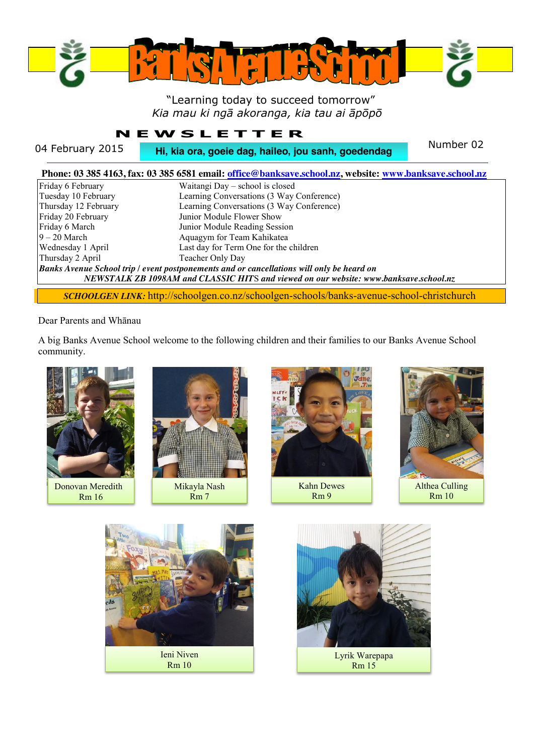

## "Learning today to succeed tomorrow" *Kia mau ki ngā akoranga, kia tau ai āpōpō*

# **NEWSLETTER**

04 February 2015 **Hi, kia ora, goeie dag, haileo, jou sanh, goedendag** Number 02

|                      | Phone: 03 385 4163, fax: 03 385 6581 email: office@banksave.school.nz, website: www.banksave.school.nz                                                                                    |
|----------------------|-------------------------------------------------------------------------------------------------------------------------------------------------------------------------------------------|
| Friday 6 February    | Waitangi Day – school is closed                                                                                                                                                           |
| Tuesday 10 February  | Learning Conversations (3 Way Conference)                                                                                                                                                 |
| Thursday 12 February | Learning Conversations (3 Way Conference)                                                                                                                                                 |
| Friday 20 February   | Junior Module Flower Show                                                                                                                                                                 |
| Friday 6 March       | Junior Module Reading Session                                                                                                                                                             |
| $9 - 20$ March       | Aquagym for Team Kahikatea                                                                                                                                                                |
| Wednesday 1 April    | Last day for Term One for the children                                                                                                                                                    |
| Thursday 2 April     | Teacher Only Day                                                                                                                                                                          |
|                      | <b>Banks Avenue School trip / event postponements and or cancellations will only be heard on</b><br>NEWSTALK ZB 1098AM and CLASSIC HITS and viewed on our website: www.banksave.school.nz |

*SCHOOLGEN LINK:* http://schoolgen.co.nz/schoolgen-schools/banks-avenue-school-christchurch

#### Dear Parents and Whānau

A big Banks Avenue School welcome to the following children and their families to our Banks Avenue School community.



Donovan Meredith Rm 16



Mikayla Nash Rm 7



Kahn Dewes Rm 9



Althea Culling Rm 10



Lyrik Warepapa Rm 15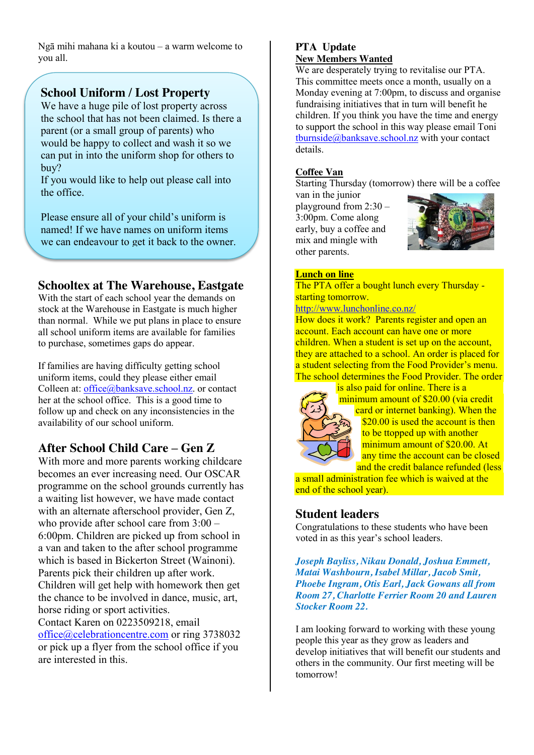Ngā mihi mahana ki a koutou – a warm welcome to you all.

# **School Uniform / Lost Property**

We have a huge pile of lost property across the school that has not been claimed. Is there a parent (or a small group of parents) who would be happy to collect and wash it so we can put in into the uniform shop for others to buy?

If you would like to help out please call into the office.

Please ensure all of your child's uniform is named! If we have names on uniform items we can endeavour to get it back to the owner.

## **Schooltex at The Warehouse, Eastgate**

With the start of each school year the demands on stock at the Warehouse in Eastgate is much higher than normal. While we put plans in place to ensure all school uniform items are available for families to purchase, sometimes gaps do appear.

If families are having difficulty getting school uniform items, could they please either email Colleen at: [office@banksave.school.nz.](mailto:office@banksave.school.nz) or contact her at the school office. This is a good time to follow up and check on any inconsistencies in the availability of our school uniform.

# **After School Child Care – Gen Z**

With more and more parents working childcare becomes an ever increasing need. Our OSCAR programme on the school grounds currently has a waiting list however, we have made contact with an alternate afterschool provider, Gen Z, who provide after school care from 3:00 – 6:00pm. Children are picked up from school in a van and taken to the after school programme which is based in Bickerton Street (Wainoni). Parents pick their children up after work. Children will get help with homework then get the chance to be involved in dance, music, art, horse riding or sport activities. Contact Karen on 0223509218, email [office@celebrationcentre.com](mailto:office@celebrationcentre.com) or ring 3738032 or pick up a flyer from the school office if you are interested in this.

#### **PTA Update New Members Wanted**

We are desperately trying to revitalise our PTA. This committee meets once a month, usually on a Monday evening at 7:00pm, to discuss and organise fundraising initiatives that in turn will benefit he children. If you think you have the time and energy to support the school in this way please email Toni [tburnside@banksave.school.nz](mailto:tburnside@banksave.school.nz) with your contact details.

## **Coffee Van**

Starting Thursday (tomorrow) there will be a coffee

van in the junior playground from 2:30 – 3:00pm. Come along early, buy a coffee and mix and mingle with other parents.



### **Lunch on line**

The PTA offer a bought lunch every Thursday starting tomorrow.

<http://www.lunchonline.co.nz/>

How does it work? Parents register and open an account. Each account can have one or more children. When a student is set up on the account, they are attached to a school. An order is placed for a student selecting from the Food Provider's menu. The school determines the Food Provider. The order



is also paid for online. There is a minimum amount of \$20.00 (via credit card or internet banking). When the \$20.00 is used the account is then to be ttopped up with another minimum amount of \$20.00. At any time the account can be closed and the credit balance refunded (less

a small administration fee which is waived at the end of the school year).

## **Student leaders**

Congratulations to these students who have been voted in as this year's school leaders.

*Joseph Bayliss, Nikau Donald, Joshua Emmett, Matai Washbourn, Isabel Millar, Jacob Smit, Phoebe Ingram, Otis Earl, Jack Gowans all from Room 27, Charlotte Ferrier Room 20 and Lauren Stocker Room 22.*

I am looking forward to working with these young people this year as they grow as leaders and develop initiatives that will benefit our students and others in the community. Our first meeting will be tomorrow!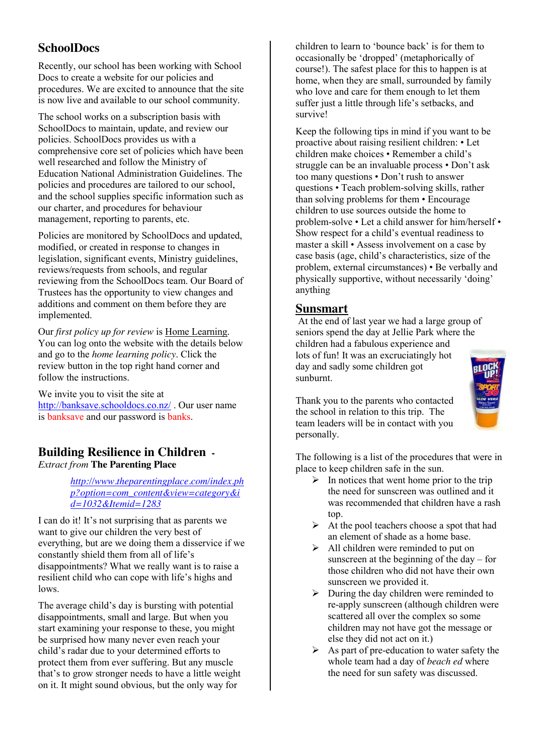## **SchoolDocs**

Recently, our school has been working with School Docs to create a website for our policies and procedures. We are excited to announce that the site is now live and available to our school community.

The school works on a subscription basis with SchoolDocs to maintain, update, and review our policies. SchoolDocs provides us with a comprehensive core set of policies which have been well researched and follow the Ministry of Education National Administration Guidelines. The policies and procedures are tailored to our school, and the school supplies specific information such as our charter, and procedures for behaviour management, reporting to parents, etc.

Policies are monitored by SchoolDocs and updated, modified, or created in response to changes in legislation, significant events, Ministry guidelines, reviews/requests from schools, and regular reviewing from the SchoolDocs team. Our Board of Trustees has the opportunity to view changes and additions and comment on them before they are implemented.

Our *first policy up for review* is Home Learning. You can log onto the website with the details below and go to the *home learning policy*. Click the review button in the top right hand corner and follow the instructions.

We invite you to visit the site at <http://banksave.schooldocs.co.nz/> . Our user name is banksave and our password is banks.

# **Building Resilience in Children -**

*Extract from* **The Parenting Place**

*[http://www.theparentingplace.com/index.ph](http://www.theparentingplace.com/index.php?option=com_content&view=category&id=1032&Itemid=1283) [p?option=com\\_content&view=category&i](http://www.theparentingplace.com/index.php?option=com_content&view=category&id=1032&Itemid=1283) [d=1032&Itemid=1283](http://www.theparentingplace.com/index.php?option=com_content&view=category&id=1032&Itemid=1283)*

I can do it! It's not surprising that as parents we want to give our children the very best of everything, but are we doing them a disservice if we constantly shield them from all of life's disappointments? What we really want is to raise a resilient child who can cope with life's highs and lows.

The average child's day is bursting with potential disappointments, small and large. But when you start examining your response to these, you might be surprised how many never even reach your child's radar due to your determined efforts to protect them from ever suffering. But any muscle that's to grow stronger needs to have a little weight on it. It might sound obvious, but the only way for

children to learn to 'bounce back' is for them to occasionally be 'dropped' (metaphorically of course!). The safest place for this to happen is at home, when they are small, surrounded by family who love and care for them enough to let them suffer just a little through life's setbacks, and survive!

Keep the following tips in mind if you want to be proactive about raising resilient children: • Let children make choices • Remember a child's struggle can be an invaluable process • Don't ask too many questions • Don't rush to answer questions • Teach problem-solving skills, rather than solving problems for them • Encourage children to use sources outside the home to problem-solve • Let a child answer for him/herself • Show respect for a child's eventual readiness to master a skill • Assess involvement on a case by case basis (age, child's characteristics, size of the problem, external circumstances) • Be verbally and physically supportive, without necessarily 'doing' anything

## **Sunsmart**

At the end of last year we had a large group of seniors spend the day at Jellie Park where the children had a fabulous experience and lots of fun! It was an excruciatingly hot day and sadly some children got sunburnt.

Thank you to the parents who contacted the school in relation to this trip. The team leaders will be in contact with you personally.

The following is a list of the procedures that were in place to keep children safe in the sun.

- $\triangleright$  In notices that went home prior to the trip the need for sunscreen was outlined and it was recommended that children have a rash top.
- $\triangleright$  At the pool teachers choose a spot that had an element of shade as a home base.
- $\triangleright$  All children were reminded to put on sunscreen at the beginning of the day – for those children who did not have their own sunscreen we provided it.
- $\triangleright$  During the day children were reminded to re-apply sunscreen (although children were scattered all over the complex so some children may not have got the message or else they did not act on it.)
- $\triangleright$  As part of pre-education to water safety the whole team had a day of *beach ed* where the need for sun safety was discussed.